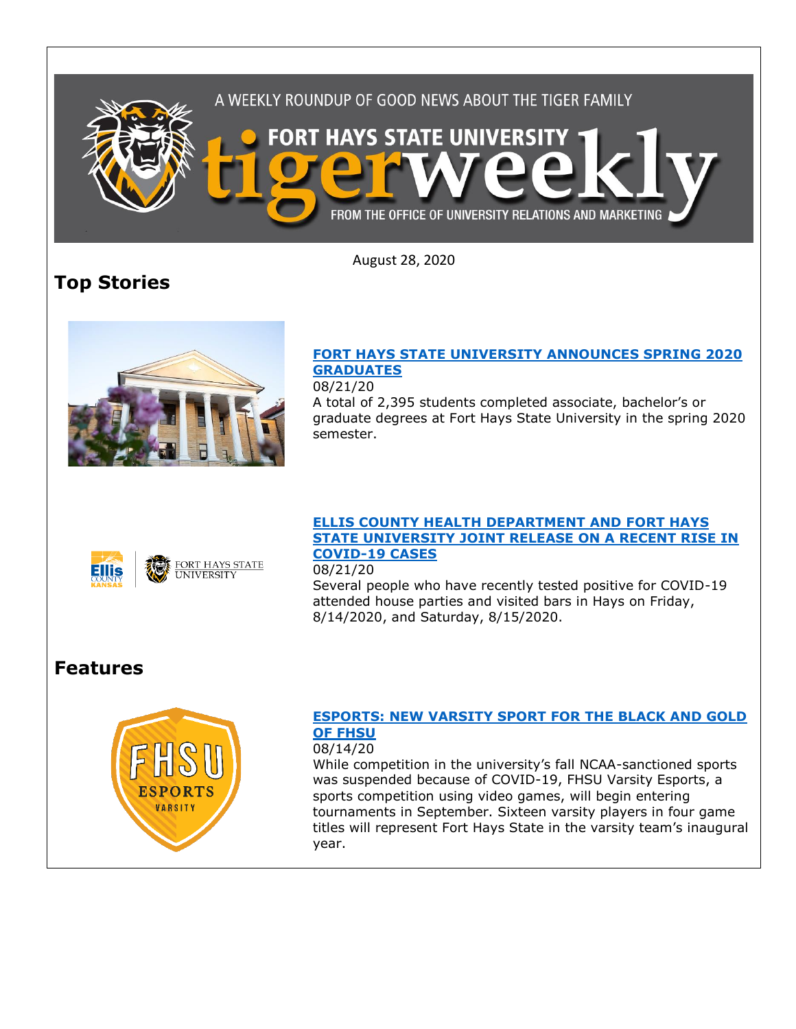

August 28, 2020

# **Top Stories**



## **[FORT HAYS STATE UNIVERSITY ANNOUNCES SPRING 2020](https://www.fhsu.edu/news/2020/08/fort-hays-state-university-announces-spring-2020-graduates)  [GRADUATES](https://www.fhsu.edu/news/2020/08/fort-hays-state-university-announces-spring-2020-graduates)**

08/21/20

A total of 2,395 students completed associate, bachelor's or graduate degrees at Fort Hays State University in the spring 2020 semester.



FORT HAYS STATE<br>UNIVERSITY

#### **[ELLIS COUNTY HEALTH DEPARTMENT AND FORT HAYS](https://www.fhsu.edu/news/2020/08/ellis-county-health-department-and-fort-hays-state-university-joint-release-on-a-recent-rise-in-covid-19-cases)  [STATE UNIVERSITY JOINT RELEASE ON A RECENT RISE IN](https://www.fhsu.edu/news/2020/08/ellis-county-health-department-and-fort-hays-state-university-joint-release-on-a-recent-rise-in-covid-19-cases)  [COVID-19 CASES](https://www.fhsu.edu/news/2020/08/ellis-county-health-department-and-fort-hays-state-university-joint-release-on-a-recent-rise-in-covid-19-cases)**

08/21/20

Several people who have recently tested positive for COVID-19 attended house parties and visited bars in Hays on Friday, 8/14/2020, and Saturday, 8/15/2020.

## **Features**



### **[ESPORTS: NEW VARSITY SPORT FOR THE BLACK AND GOLD](https://www.fhsu.edu/news/2020/08/esports-new-varsity-sport-for-the-black-and-gold-of-fhsu)  [OF FHSU](https://www.fhsu.edu/news/2020/08/esports-new-varsity-sport-for-the-black-and-gold-of-fhsu)**

#### 08/14/20

While competition in the university's fall NCAA-sanctioned sports was suspended because of COVID-19, FHSU Varsity Esports, a sports competition using video games, will begin entering tournaments in September. Sixteen varsity players in four game titles will represent Fort Hays State in the varsity team's inaugural year.